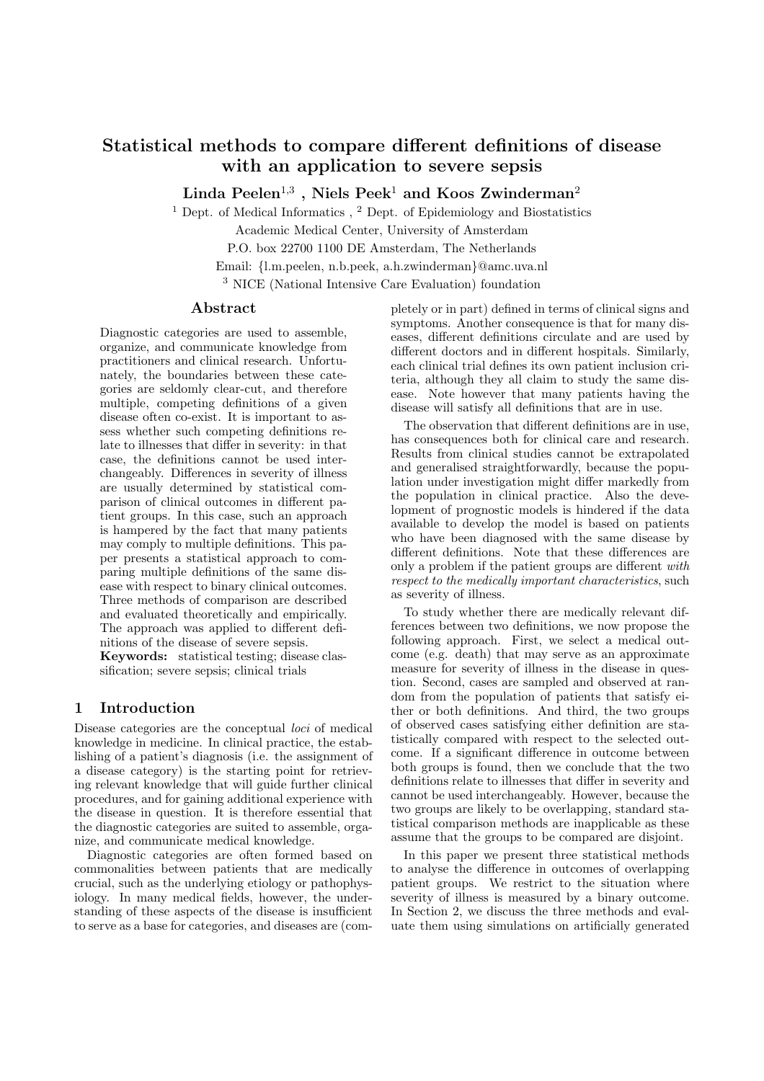# Statistical methods to compare different definitions of disease with an application to severe sepsis

Linda Peelen $^{1,3}$  , Niels Peek $^1$  and Koos Zwinderman $^2$ 

<sup>1</sup> Dept. of Medical Informatics  $\lambda$ <sup>2</sup> Dept. of Epidemiology and Biostatistics

Academic Medical Center, University of Amsterdam

P.O. box 22700 1100 DE Amsterdam, The Netherlands

Email: {l.m.peelen, n.b.peek, a.h.zwinderman}@amc.uva.nl

<sup>3</sup> NICE (National Intensive Care Evaluation) foundation

## Abstract

Diagnostic categories are used to assemble, organize, and communicate knowledge from practitioners and clinical research. Unfortunately, the boundaries between these categories are seldomly clear-cut, and therefore multiple, competing definitions of a given disease often co-exist. It is important to assess whether such competing definitions relate to illnesses that differ in severity: in that case, the definitions cannot be used interchangeably. Differences in severity of illness are usually determined by statistical comparison of clinical outcomes in different patient groups. In this case, such an approach is hampered by the fact that many patients may comply to multiple definitions. This paper presents a statistical approach to comparing multiple definitions of the same disease with respect to binary clinical outcomes. Three methods of comparison are described and evaluated theoretically and empirically. The approach was applied to different definitions of the disease of severe sepsis. Keywords: statistical testing; disease clas-

sification; severe sepsis; clinical trials

## 1 Introduction

Disease categories are the conceptual *loci* of medical knowledge in medicine. In clinical practice, the establishing of a patient's diagnosis (i.e. the assignment of a disease category) is the starting point for retrieving relevant knowledge that will guide further clinical procedures, and for gaining additional experience with the disease in question. It is therefore essential that the diagnostic categories are suited to assemble, organize, and communicate medical knowledge.

Diagnostic categories are often formed based on commonalities between patients that are medically crucial, such as the underlying etiology or pathophysiology. In many medical fields, however, the understanding of these aspects of the disease is insufficient to serve as a base for categories, and diseases are (completely or in part) defined in terms of clinical signs and symptoms. Another consequence is that for many diseases, different definitions circulate and are used by different doctors and in different hospitals. Similarly, each clinical trial defines its own patient inclusion criteria, although they all claim to study the same disease. Note however that many patients having the disease will satisfy all definitions that are in use.

The observation that different definitions are in use, has consequences both for clinical care and research. Results from clinical studies cannot be extrapolated and generalised straightforwardly, because the population under investigation might differ markedly from the population in clinical practice. Also the development of prognostic models is hindered if the data available to develop the model is based on patients who have been diagnosed with the same disease by different definitions. Note that these differences are only a problem if the patient groups are different with respect to the medically important characteristics, such as severity of illness.

To study whether there are medically relevant differences between two definitions, we now propose the following approach. First, we select a medical outcome (e.g. death) that may serve as an approximate measure for severity of illness in the disease in question. Second, cases are sampled and observed at random from the population of patients that satisfy either or both definitions. And third, the two groups of observed cases satisfying either definition are statistically compared with respect to the selected outcome. If a significant difference in outcome between both groups is found, then we conclude that the two definitions relate to illnesses that differ in severity and cannot be used interchangeably. However, because the two groups are likely to be overlapping, standard statistical comparison methods are inapplicable as these assume that the groups to be compared are disjoint.

In this paper we present three statistical methods to analyse the difference in outcomes of overlapping patient groups. We restrict to the situation where severity of illness is measured by a binary outcome. In Section 2, we discuss the three methods and evaluate them using simulations on artificially generated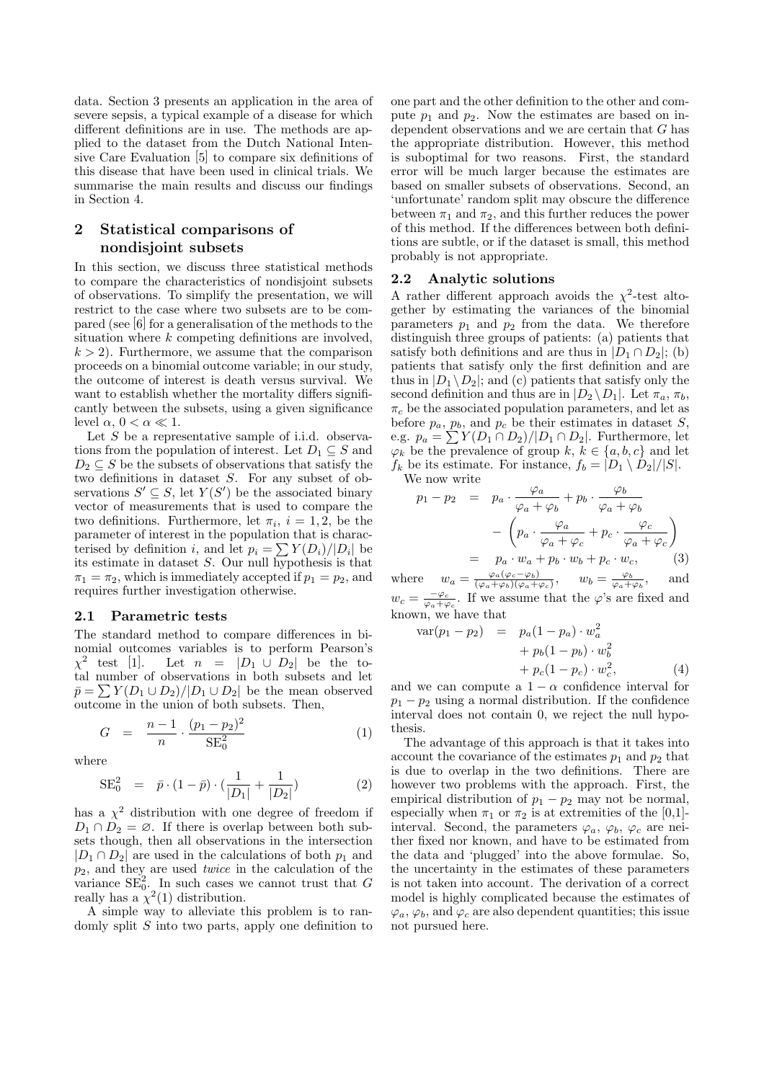data. Section 3 presents an application in the area of severe sepsis, a typical example of a disease for which different definitions are in use. The methods are applied to the dataset from the Dutch National Intensive Care Evaluation [5] to compare six definitions of this disease that have been used in clinical trials. We summarise the main results and discuss our findings in Section 4.

# 2 Statistical comparisons of nondisjoint subsets

In this section, we discuss three statistical methods to compare the characteristics of nondisjoint subsets of observations. To simplify the presentation, we will restrict to the case where two subsets are to be compared (see [6] for a generalisation of the methods to the situation where  $k$  competing definitions are involved,  $k > 2$ ). Furthermore, we assume that the comparison proceeds on a binomial outcome variable; in our study, the outcome of interest is death versus survival. We want to establish whether the mortality differs significantly between the subsets, using a given significance level  $\alpha$ ,  $0 < \alpha \ll 1$ .

Let  $S$  be a representative sample of i.i.d. observations from the population of interest. Let  $D_1 \subseteq S$  and  $D_2 \subseteq S$  be the subsets of observations that satisfy the two definitions in dataset S. For any subset of observations  $S' \subseteq S$ , let  $Y(S')$  be the associated binary vector of measurements that is used to compare the two definitions. Furthermore, let  $\pi_i$ ,  $i = 1, 2$ , be the parameter of interest in the population that is characparameter of interest in the population that is characterised by definition i, and let  $p_i = \sum Y(D_i)/|D_i|$  be its estimate in dataset S. Our null hypothesis is that  $\pi_1 = \pi_2$ , which is immediately accepted if  $p_1 = p_2$ , and requires further investigation otherwise.

#### 2.1 Parametric tests

The standard method to compare differences in binomial outcomes variables is to perform Pearson's  $\chi^2$  test [1]. Let  $n = |D_1 \cup D_2|$  be the total number of observations in both subsets and let tal number of observations in both subsets and let  $\bar{p} = \sum Y(D_1 \cup D_2)/|D_1 \cup D_2|$  be the mean observed outcome in the union of both subsets. Then,

$$
G = \frac{n-1}{n} \cdot \frac{(p_1 - p_2)^2}{SE_0^2} \tag{1}
$$

where

SE<sub>0</sub><sup>2</sup> = 
$$
\bar{p} \cdot (1 - \bar{p}) \cdot (\frac{1}{|D_1|} + \frac{1}{|D_2|})
$$
 (2)

has a  $\chi^2$  distribution with one degree of freedom if  $D_1 \cap D_2 = \emptyset$ . If there is overlap between both subsets though, then all observations in the intersection  $|D_1 \cap D_2|$  are used in the calculations of both  $p_1$  and  $p_2$ , and they are used *twice* in the calculation of the variance  $SE_0^2$ . In such cases we cannot trust that G really has a  $\chi^2(1)$  distribution.

A simple way to alleviate this problem is to randomly split  $S$  into two parts, apply one definition to one part and the other definition to the other and compute  $p_1$  and  $p_2$ . Now the estimates are based on independent observations and we are certain that G has the appropriate distribution. However, this method is suboptimal for two reasons. First, the standard error will be much larger because the estimates are based on smaller subsets of observations. Second, an 'unfortunate' random split may obscure the difference between  $\pi_1$  and  $\pi_2$ , and this further reduces the power of this method. If the differences between both definitions are subtle, or if the dataset is small, this method probably is not appropriate.

#### 2.2 Analytic solutions

A rather different approach avoids the  $\chi^2$ -test altogether by estimating the variances of the binomial parameters  $p_1$  and  $p_2$  from the data. We therefore distinguish three groups of patients: (a) patients that satisfy both definitions and are thus in  $|D_1 \cap D_2|$ ; (b) patients that satisfy only the first definition and are thus in  $|D_1 \setminus D_2|$ ; and (c) patients that satisfy only the second definition and thus are in  $|D_2 \setminus D_1|$ . Let  $\pi_a, \pi_b$ ,  $\pi_c$  be the associated population parameters, and let as before  $p_a$ ,  $p_b$ , and  $p_c$  be their estimates in dataset S, before  $p_a$ ,  $p_b$ , and  $p_c$  be their estimates in dataset 5,<br>e.g.  $p_a = \sum Y(D_1 \cap D_2)/|D_1 \cap D_2|$ . Furthermore, let  $\varphi_k$  be the prevalence of group  $k, k \in \{a, b, c\}$  and let  $f_k$  be its estimate. For instance,  $f_b = |D_1 \setminus D_2|/|S|$ .

 $\ddot{\phantom{a}}$ 

We now write

$$
p_1 - p_2 = p_a \cdot \frac{\varphi_a}{\varphi_a + \varphi_b} + p_b \cdot \frac{\varphi_b}{\varphi_a + \varphi_b}
$$

$$
- \left( p_a \cdot \frac{\varphi_a}{\varphi_a + \varphi_c} + p_c \cdot \frac{\varphi_c}{\varphi_a + \varphi_c} \right)
$$

$$
= p_a \cdot w_a + p_b \cdot w_b + p_c \cdot w_c, \qquad (3)
$$

where  $w_a = \frac{\varphi_a(\varphi_c - \varphi_b)}{(\varphi_a + \varphi_b)(\varphi_a + \varphi_b)}$  $\frac{\varphi_a(\varphi_c-\varphi_b)}{(\varphi_a+\varphi_b)(\varphi_a+\varphi_c)}, \quad w_b = \frac{\varphi_b}{\varphi_a+\varphi_b}, \quad \text{and}$  $w_c = \frac{-\varphi_c}{\varphi_a + \varphi_c}$ . If we assume that the  $\varphi$ 's are fixed and known, we have that

$$
\begin{array}{rcl}\n\text{var}(p_1 - p_2) & = & p_a(1 - p_a) \cdot w_a^2 \\
& & + p_b(1 - p_b) \cdot w_b^2 \\
& & + p_c(1 - p_c) \cdot w_c^2,\n\end{array}\n\tag{4}
$$

and we can compute a  $1 - \alpha$  confidence interval for  $p_1 - p_2$  using a normal distribution. If the confidence interval does not contain 0, we reject the null hypothesis.

The advantage of this approach is that it takes into account the covariance of the estimates  $p_1$  and  $p_2$  that is due to overlap in the two definitions. There are however two problems with the approach. First, the empirical distribution of  $p_1 - p_2$  may not be normal, especially when  $\pi_1$  or  $\pi_2$  is at extremities of the [0,1]interval. Second, the parameters  $\varphi_a$ ,  $\varphi_b$ ,  $\varphi_c$  are neither fixed nor known, and have to be estimated from the data and 'plugged' into the above formulae. So, the uncertainty in the estimates of these parameters is not taken into account. The derivation of a correct model is highly complicated because the estimates of  $\varphi_a, \varphi_b$ , and  $\varphi_c$  are also dependent quantities; this issue not pursued here.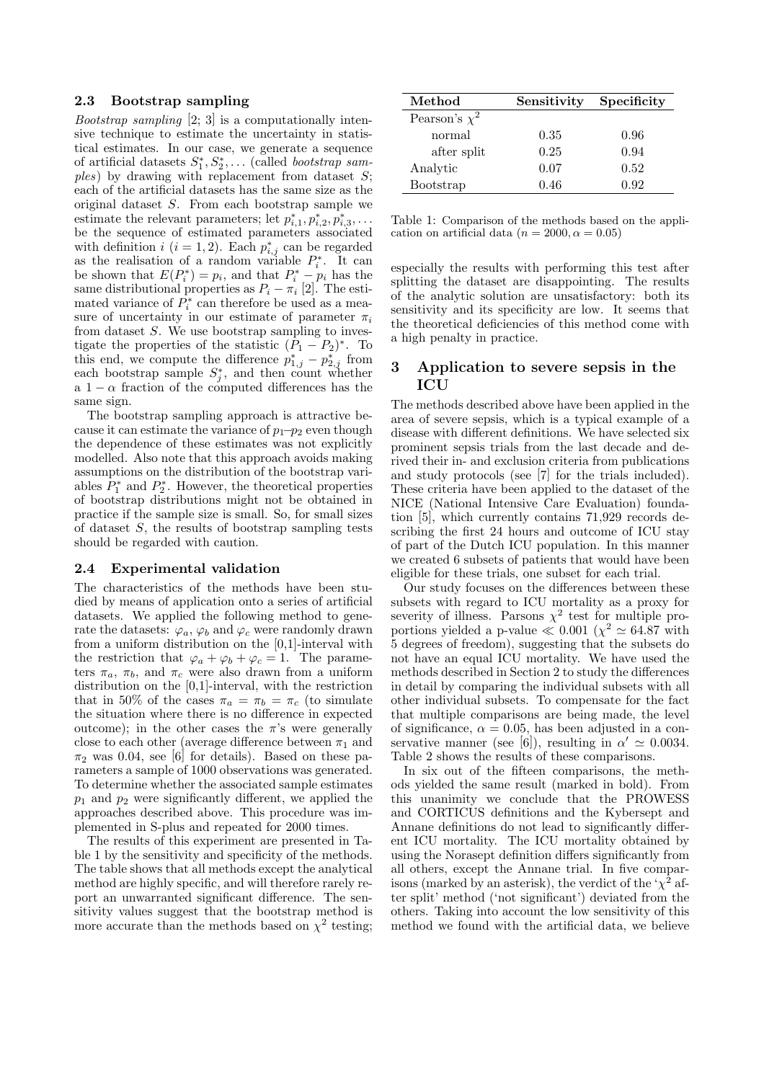#### 2.3 Bootstrap sampling

*Bootstrap sampling*  $[2, 3]$  is a computationally intensive technique to estimate the uncertainty in statistical estimates. In our case, we generate a sequence of artificial datasets  $S_1^*, S_2^*, \ldots$  (called bootstrap sam $ples)$  by drawing with replacement from dataset S; each of the artificial datasets has the same size as the original dataset S. From each bootstrap sample we estimate the relevant parameters; let  $p_{i,1}^*, p_{i,2}^*, p_{i,3}^*, \ldots$ be the sequence of estimated parameters associated with definition  $i$   $(i = 1, 2)$ . Each  $p_{i,j}^*$  can be regarded as the realisation of a random variable  $P_i^*$ . It can be shown that  $E(P_i^*) = p_i$ , and that  $P_i^* - p_i$  has the same distributional properties as  $P_i - \pi_i$  [2]. The estimated variance of  $P_i^*$  can therefore be used as a measure of uncertainty in our estimate of parameter  $\pi_i$ from dataset S. We use bootstrap sampling to investigate the properties of the statistic  $(P_1 - P_2)^*$ . To this end, we compute the difference  $p_{1,j}^* - p_{2,j}^*$  from each bootstrap sample  $S_j^*$ , and then count whether a  $1 - \alpha$  fraction of the computed differences has the same sign.

The bootstrap sampling approach is attractive because it can estimate the variance of  $p_1-p_2$  even though the dependence of these estimates was not explicitly modelled. Also note that this approach avoids making assumptions on the distribution of the bootstrap variables  $P_1^*$  and  $P_2^*$ . However, the theoretical properties of bootstrap distributions might not be obtained in practice if the sample size is small. So, for small sizes of dataset S, the results of bootstrap sampling tests should be regarded with caution.

#### 2.4 Experimental validation

The characteristics of the methods have been studied by means of application onto a series of artificial datasets. We applied the following method to generate the datasets:  $\varphi_a$ ,  $\varphi_b$  and  $\varphi_c$  were randomly drawn from a uniform distribution on the [0,1]-interval with the restriction that  $\varphi_a + \varphi_b + \varphi_c = 1$ . The parameters  $\pi_a$ ,  $\pi_b$ , and  $\pi_c$  were also drawn from a uniform distribution on the [0,1]-interval, with the restriction that in 50% of the cases  $\pi_a = \pi_b = \pi_c$  (to simulate the situation where there is no difference in expected outcome); in the other cases the  $\pi$ 's were generally close to each other (average difference between  $\pi_1$  and  $\pi_2$  was 0.04, see [6] for details). Based on these parameters a sample of 1000 observations was generated. To determine whether the associated sample estimates  $p_1$  and  $p_2$  were significantly different, we applied the approaches described above. This procedure was implemented in S-plus and repeated for 2000 times.

The results of this experiment are presented in Table 1 by the sensitivity and specificity of the methods. The table shows that all methods except the analytical method are highly specific, and will therefore rarely report an unwarranted significant difference. The sensitivity values suggest that the bootstrap method is more accurate than the methods based on  $\chi^2$  testing;

| $\operatorname{Method}$ | Sensitivity | Specificity |  |
|-------------------------|-------------|-------------|--|
| Pearson's $\chi^2$      |             |             |  |
| normal                  | 0.35        | 0.96        |  |
| after split             | 0.25        | 0.94        |  |
| Analytic                | 0.07        | 0.52        |  |
| Bootstrap               | 0.46        | 0.92        |  |

Table 1: Comparison of the methods based on the application on artificial data ( $n = 2000, \alpha = 0.05$ )

especially the results with performing this test after splitting the dataset are disappointing. The results of the analytic solution are unsatisfactory: both its sensitivity and its specificity are low. It seems that the theoretical deficiencies of this method come with a high penalty in practice.

# 3 Application to severe sepsis in the **ICU**

The methods described above have been applied in the area of severe sepsis, which is a typical example of a disease with different definitions. We have selected six prominent sepsis trials from the last decade and derived their in- and exclusion criteria from publications and study protocols (see [7] for the trials included). These criteria have been applied to the dataset of the NICE (National Intensive Care Evaluation) foundation [5], which currently contains 71,929 records describing the first 24 hours and outcome of ICU stay of part of the Dutch ICU population. In this manner we created 6 subsets of patients that would have been eligible for these trials, one subset for each trial.

Our study focuses on the differences between these subsets with regard to ICU mortality as a proxy for severity of illness. Parsons  $\chi^2$  test for multiple proportions yielded a p-value  $\ll 0.001 \ (\chi^2 \simeq 64.87 \ \text{with}$ 5 degrees of freedom), suggesting that the subsets do not have an equal ICU mortality. We have used the methods described in Section 2 to study the differences in detail by comparing the individual subsets with all other individual subsets. To compensate for the fact that multiple comparisons are being made, the level of significance,  $\alpha = 0.05$ , has been adjusted in a conservative manner (see [6]), resulting in  $\alpha' \simeq 0.0034$ . Table 2 shows the results of these comparisons.

In six out of the fifteen comparisons, the methods yielded the same result (marked in bold). From this unanimity we conclude that the PROWESS and CORTICUS definitions and the Kybersept and Annane definitions do not lead to significantly different ICU mortality. The ICU mortality obtained by using the Norasept definition differs significantly from all others, except the Annane trial. In five comparisons (marked by an asterisk), the verdict of the ' $\chi^2$  after split' method ('not significant') deviated from the others. Taking into account the low sensitivity of this method we found with the artificial data, we believe